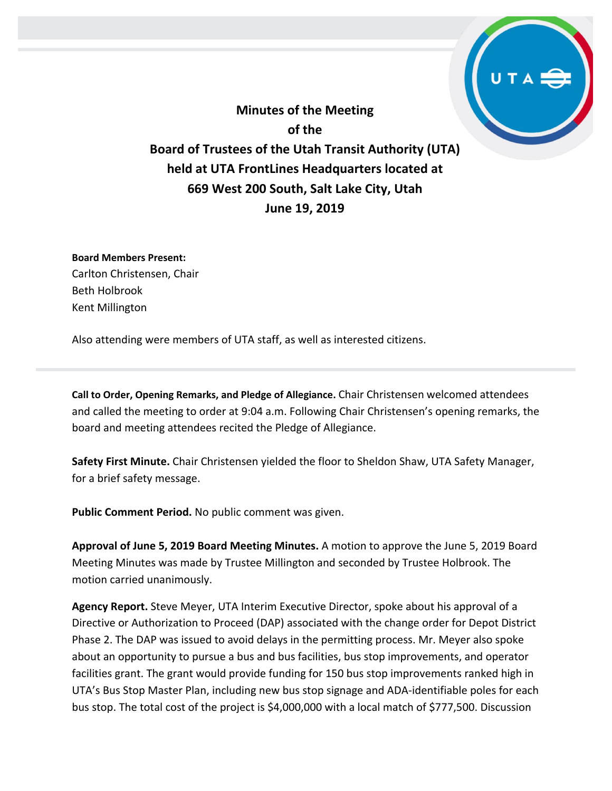**Minutes of the Meeting of the Board of Trustees of the Utah Transit Authority (UTA) held at UTA FrontLines Headquarters located at 669 West 200 South, Salt Lake City, Utah June 19, 2019**

**Board Members Present:** Carlton Christensen, Chair Beth Holbrook Kent Millington

Also attending were members of UTA staff, as well as interested citizens.

**Call to Order, Opening Remarks, and Pledge of Allegiance.** Chair Christensen welcomed attendees and called the meeting to order at 9:04 a.m. Following Chair Christensen's opening remarks, the board and meeting attendees recited the Pledge of Allegiance.

**Safety First Minute.** Chair Christensen yielded the floor to Sheldon Shaw, UTA Safety Manager, for a brief safety message.

**Public Comment Period.** No public comment was given.

**Approval of June 5, 2019 Board Meeting Minutes.** A motion to approve the June 5, 2019 Board Meeting Minutes was made by Trustee Millington and seconded by Trustee Holbrook. The motion carried unanimously.

**Agency Report.** Steve Meyer, UTA Interim Executive Director, spoke about his approval of a Directive or Authorization to Proceed (DAP) associated with the change order for Depot District Phase 2. The DAP was issued to avoid delays in the permitting process. Mr. Meyer also spoke about an opportunity to pursue a bus and bus facilities, bus stop improvements, and operator facilities grant. The grant would provide funding for 150 bus stop improvements ranked high in UTA's Bus Stop Master Plan, including new bus stop signage and ADA-identifiable poles for each bus stop. The total cost of the project is \$4,000,000 with a local match of \$777,500. Discussion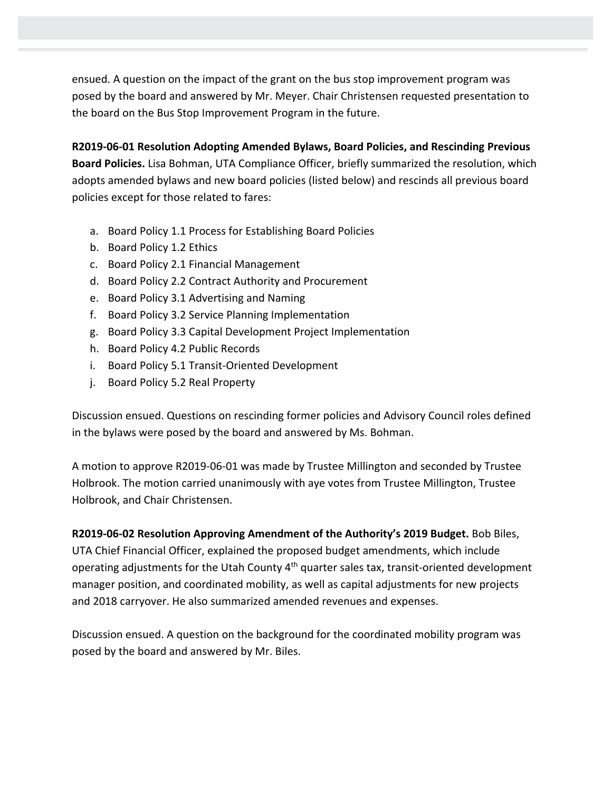ensued. A question on the impact of the grant on the bus stop improvement program was posed by the board and answered by Mr. Meyer. Chair Christensen requested presentation to the board on the Bus Stop Improvement Program in the future.

**R2019-06-01 Resolution Adopting Amended Bylaws, Board Policies, and Rescinding Previous Board Policies.** Lisa Bohman, UTA Compliance Officer, briefly summarized the resolution, which adopts amended bylaws and new board policies (listed below) and rescinds all previous board policies except for those related to fares:

- a. Board Policy 1.1 Process for Establishing Board Policies
- b. Board Policy 1.2 Ethics
- c. Board Policy 2.1 Financial Management
- d. Board Policy 2.2 Contract Authority and Procurement
- e. Board Policy 3.1 Advertising and Naming
- f. Board Policy 3.2 Service Planning Implementation
- g. Board Policy 3.3 Capital Development Project Implementation
- h. Board Policy 4.2 Public Records
- i. Board Policy 5.1 Transit-Oriented Development
- j. Board Policy 5.2 Real Property

Discussion ensued. Questions on rescinding former policies and Advisory Council roles defined in the bylaws were posed by the board and answered by Ms. Bohman.

A motion to approve R2019-06-01 was made by Trustee Millington and seconded by Trustee Holbrook. The motion carried unanimously with aye votes from Trustee Millington, Trustee Holbrook, and Chair Christensen.

**R2019-06-02 Resolution Approving Amendment of the Authority's 2019 Budget.** Bob Biles, UTA Chief Financial Officer, explained the proposed budget amendments, which include operating adjustments for the Utah County 4<sup>th</sup> quarter sales tax, transit-oriented development manager position, and coordinated mobility, as well as capital adjustments for new projects and 2018 carryover. He also summarized amended revenues and expenses.

Discussion ensued. A question on the background for the coordinated mobility program was posed by the board and answered by Mr. Biles.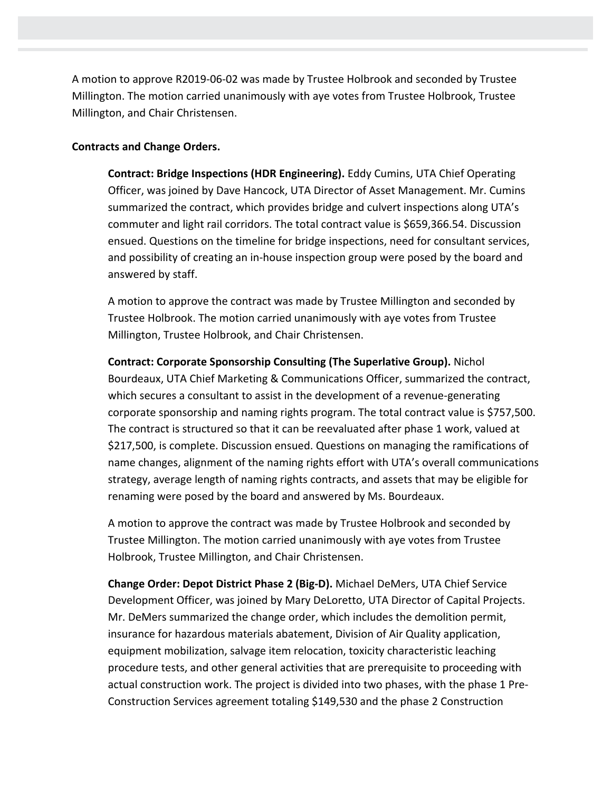A motion to approve R2019-06-02 was made by Trustee Holbrook and seconded by Trustee Millington. The motion carried unanimously with aye votes from Trustee Holbrook, Trustee Millington, and Chair Christensen.

## **Contracts and Change Orders.**

**Contract: Bridge Inspections (HDR Engineering).** Eddy Cumins, UTA Chief Operating Officer, was joined by Dave Hancock, UTA Director of Asset Management. Mr. Cumins summarized the contract, which provides bridge and culvert inspections along UTA's commuter and light rail corridors. The total contract value is \$659,366.54. Discussion ensued. Questions on the timeline for bridge inspections, need for consultant services, and possibility of creating an in-house inspection group were posed by the board and answered by staff.

A motion to approve the contract was made by Trustee Millington and seconded by Trustee Holbrook. The motion carried unanimously with aye votes from Trustee Millington, Trustee Holbrook, and Chair Christensen.

**Contract: Corporate Sponsorship Consulting (The Superlative Group).** Nichol Bourdeaux, UTA Chief Marketing & Communications Officer, summarized the contract, which secures a consultant to assist in the development of a revenue-generating corporate sponsorship and naming rights program. The total contract value is \$757,500. The contract is structured so that it can be reevaluated after phase 1 work, valued at \$217,500, is complete. Discussion ensued. Questions on managing the ramifications of name changes, alignment of the naming rights effort with UTA's overall communications strategy, average length of naming rights contracts, and assets that may be eligible for renaming were posed by the board and answered by Ms. Bourdeaux.

A motion to approve the contract was made by Trustee Holbrook and seconded by Trustee Millington. The motion carried unanimously with aye votes from Trustee Holbrook, Trustee Millington, and Chair Christensen.

**Change Order: Depot District Phase 2 (Big-D).** Michael DeMers, UTA Chief Service Development Officer, was joined by Mary DeLoretto, UTA Director of Capital Projects. Mr. DeMers summarized the change order, which includes the demolition permit, insurance for hazardous materials abatement, Division of Air Quality application, equipment mobilization, salvage item relocation, toxicity characteristic leaching procedure tests, and other general activities that are prerequisite to proceeding with actual construction work. The project is divided into two phases, with the phase 1 Pre-Construction Services agreement totaling \$149,530 and the phase 2 Construction